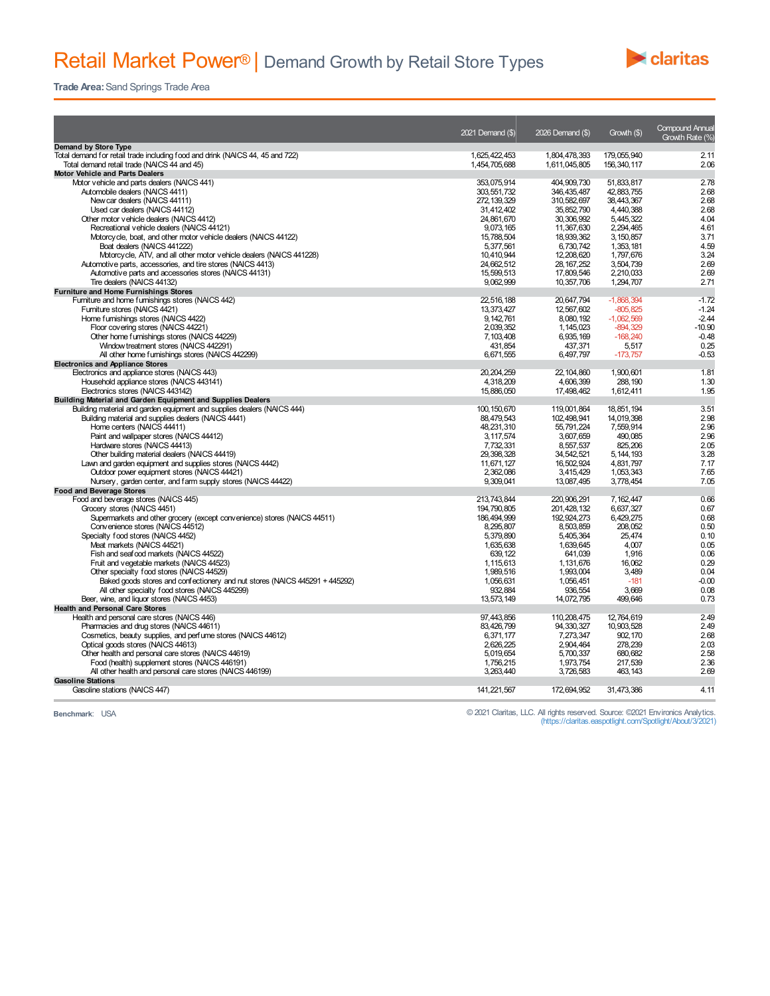

**Trade Area:**Sand Springs Trade Area

|                                                                               | 2021 Demand (\$) | 2026 Demand (\$) | Growth (\$)  | <b>Compound Annual</b><br>Growth Rate (%) |
|-------------------------------------------------------------------------------|------------------|------------------|--------------|-------------------------------------------|
| <b>Demand by Store Type</b>                                                   |                  |                  |              |                                           |
| Total demand for retail trade including food and drink (NAICS 44, 45 and 722) | 1,625,422,453    | 1,804,478,393    | 179,055,940  | 2.11                                      |
| Total demand retail trade (NAICS 44 and 45)                                   | 1,454,705,688    | 1,611,045,805    | 156,340,117  | 2.06                                      |
| <b>Motor Vehicle and Parts Dealers</b>                                        |                  |                  |              |                                           |
| Motor vehicle and parts dealers (NAICS 441)                                   | 353,075,914      | 404.909.730      | 51.833.817   | 2.78                                      |
| Automobile dealers (NAICS 4411)                                               | 303.551.732      | 346, 435, 487    | 42.883.755   | 2.68                                      |
| New car dealers (NAICS 44111)                                                 | 272, 139, 329    | 310,582,697      | 38.443.367   | 2.68                                      |
| Used car dealers (NAICS 44112)                                                | 31,412,402       | 35, 852, 790     | 4.440.388    | 2.68                                      |
| Other motor vehicle dealers (NAICS 4412)                                      | 24.861.670       | 30.306.992       | 5,445,322    | 4.04                                      |
| Recreational vehicle dealers (NAICS 44121)                                    | 9.073.165        | 11.367.630       | 2.294.465    | 4.61                                      |
| Motorcycle, boat, and other motor vehicle dealers (NAICS 44122)               | 15.788.504       | 18.939.362       | 3.150.857    | 3.71                                      |
| Boat dealers (NAICS 441222)                                                   | 5,377,561        | 6,730,742        | 1,353,181    | 4.59                                      |
| Motorcycle, ATV, and all other motor vehicle dealers (NAICS 441228)           | 10,410,944       | 12,208,620       | 1,797,676    | 3.24                                      |
| Automotive parts, accessories, and tire stores (NAICS 4413)                   | 24,662,512       | 28, 167, 252     | 3,504,739    | 2.69                                      |
| Automotive parts and accessories stores (NAICS 44131)                         | 15,599,513       | 17,809.546       | 2.210.033    | 2.69                                      |
| Tire dealers (NAICS 44132)                                                    | 9,062,999        | 10,357,706       | 1,294,707    | 2.71                                      |
| <b>Furniture and Home Furnishings Stores</b>                                  |                  |                  |              |                                           |
| Furniture and home furnishings stores (NAICS 442)                             | 22,516,188       | 20,647,794       | $-1.868.394$ | $-1.72$                                   |
| Furniture stores (NAICS 4421)                                                 | 13,373,427       | 12,567,602       | $-805, 825$  | $-1.24$                                   |
| Home furnishings stores (NAICS 4422)                                          | 9, 142, 761      | 8,080,192        | $-1,062,569$ | $-2.44$                                   |
| Floor covering stores (NAICS 44221)                                           | 2.039.352        | 1.145.023        | $-894.329$   | $-10.90$                                  |
| Other home furnishings stores (NAICS 44229)                                   | 7.103.408        | 6,935,169        | $-168.240$   | $-0.48$                                   |
| Window treatment stores (NAICS 442291)                                        | 431.854          | 437,371          | 5,517        | 0.25                                      |
| All other home furnishings stores (NAICS 442299)                              | 6,671,555        | 6,497,797        | $-173,757$   | $-0.53$                                   |
| <b>Electronics and Appliance Stores</b>                                       |                  |                  |              |                                           |
| Electronics and appliance stores (NAICS 443)                                  | 20, 204, 259     | 22, 104, 860     | 1,900,601    | 1.81                                      |
| Household appliance stores (NAICS 443141)                                     | 4,318,209        | 4.606.399        | 288.190      | 1.30                                      |
| Electronics stores (NAICS 443142)                                             | 15,886,050       | 17,498,462       | 1,612,411    | 1.95                                      |
| Building Material and Garden Equipment and Supplies Dealers                   |                  |                  |              |                                           |
| Building material and garden equipment and supplies dealers (NAICS 444)       | 100, 150, 670    | 119,001,864      | 18,851,194   | 3.51                                      |
| Building material and supplies dealers (NAICS 4441)                           | 88,479,543       | 102,498,941      | 14,019,398   | 2.98                                      |
| Home centers (NAICS 44411)                                                    | 48,231,310       | 55,791,224       | 7,559,914    | 2.96                                      |
| Paint and wallpaper stores (NAICS 44412)                                      | 3.117.574        | 3.607.659        | 490.085      | 2.96                                      |
| Hardware stores (NAICS 44413)                                                 | 7,732,331        | 8,557,537        | 825,206      | 2.05                                      |
| Other building material dealers (NAICS 44419)                                 | 29, 398, 328     | 34,542,521       | 5, 144, 193  | 3.28                                      |
| Lawn and garden equipment and supplies stores (NAICS 4442)                    | 11.671.127       | 16,502,924       | 4.831.797    | 7.17                                      |
| Outdoor power equipment stores (NAICS 44421)                                  | 2,362,086        | 3,415,429        | 1,053,343    | 7.65                                      |
| Nursery, garden center, and farm supply stores (NAICS 44422)                  | 9.309.041        | 13,087,495       | 3.778.454    | 7.05                                      |
| <b>Food and Beverage Stores</b>                                               |                  |                  |              |                                           |
| Food and beverage stores (NAICS 445)                                          | 213,743,844      | 220,906,291      | 7,162,447    | 0.66                                      |
| Grocery stores (NAICS 4451)                                                   | 194.790.805      | 201.428.132      | 6.637.327    | 0.67                                      |
| Supermarkets and other grocery (except convenience) stores (NAICS 44511)      | 186,494,999      | 192,924,273      | 6,429,275    | 0.68                                      |
| Convenience stores (NAICS 44512)                                              | 8.295.807        | 8,503,859        | 208.052      | 0.50                                      |
| Specialty food stores (NAICS 4452)                                            | 5,379,890        | 5,405,364        | 25.474       | 0.10                                      |
| Meat markets (NAICS 44521)                                                    | 1,635,638        | 1,639,645        | 4.007        | 0.05                                      |
| Fish and seafood markets (NAICS 44522)                                        | 639.122          | 641.039          | 1.916        | 0.06                                      |
| Fruit and vegetable markets (NAICS 44523)                                     | 1,115,613        | 1,131,676        | 16,062       | 0.29                                      |
| Other specialty food stores (NAICS 44529)                                     | 1,989,516        | 1,993,004        | 3.489        | 0.04                                      |
| Baked goods stores and confectionery and nut stores (NAICS 445291 + 445292)   | 1,056,631        | 1,056,451        | $-181$       | $-0.00$                                   |
| All other specialty food stores (NAICS 445299)                                | 932.884          | 936.554          | 3.669        | 0.08                                      |
| Beer, wine, and liquor stores (NAICS 4453)                                    | 13,573,149       | 14,072,795       | 499.646      | 0.73                                      |
| <b>Health and Personal Care Stores</b>                                        |                  |                  |              |                                           |
| Health and personal care stores (NAICS 446)                                   | 97.443.856       | 110,208,475      | 12.764.619   | 2.49                                      |
| Pharmacies and drug stores (NAICS 44611)                                      | 83,426,799       | 94, 330, 327     | 10,903,528   | 2.49                                      |
| Cosmetics, beauty supplies, and perfume stores (NAICS 44612)                  | 6,371,177        | 7,273,347        | 902, 170     | 2.68                                      |
| Optical goods stores (NAICS 44613)                                            | 2.626.225        | 2.904.464        | 278.239      | 2.03                                      |
| Other health and personal care stores (NAICS 44619)                           | 5,019,654        | 5,700,337        | 680.682      | 2.58                                      |
| Food (health) supplement stores (NAICS 446191)                                | 1,756,215        | 1,973,754        | 217,539      | 2.36                                      |
| All other health and personal care stores (NAICS 446199)                      | 3,263,440        | 3,726,583        | 463, 143     | 2.69                                      |
| <b>Gasoline Stations</b>                                                      |                  |                  |              |                                           |
| Gasoline stations (NAICS 447)                                                 | 141,221,567      | 172,694,952      | 31,473,386   | 4.11                                      |
|                                                                               |                  |                  |              |                                           |

**Benchmark**: USA © 2021 Claritas, LLC. All rights reserved. Source: ©2021 Environics Analytics. (https://claritas.easpotlight.com/Spotlight/About/3/2021)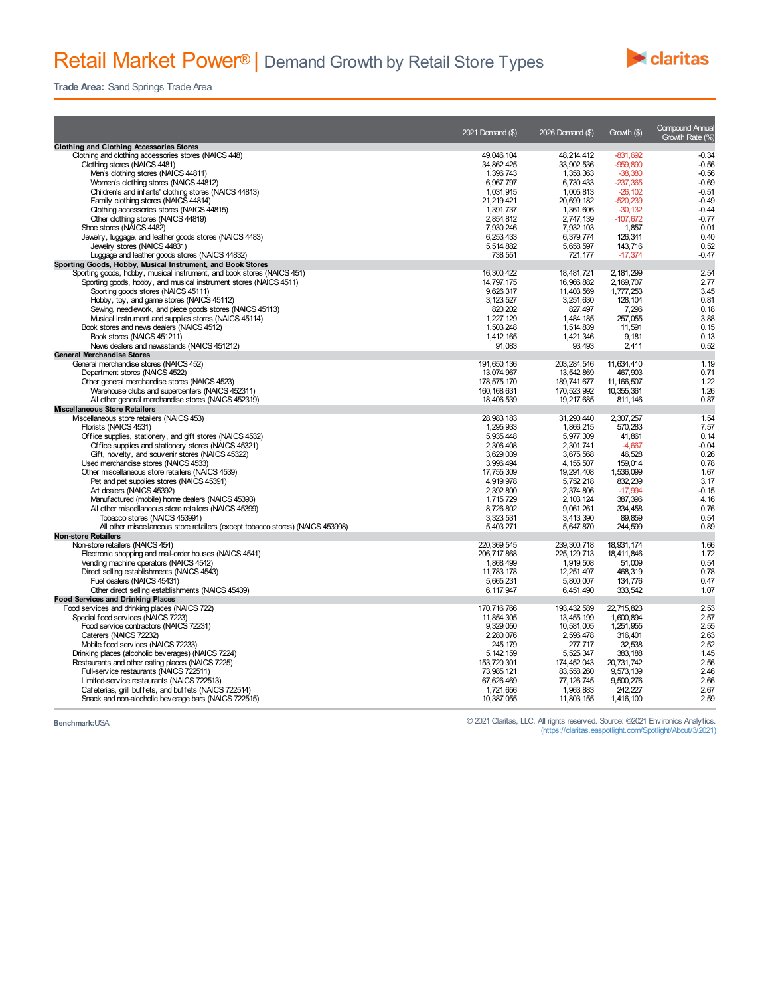## Retail Market Power® | Demand Growth by Retail Store Types



**Trade Area:** Sand Springs Trade Area

|                                                                                                              | 2021 Demand (\$)          | 2026 Demand (\$)            | Growth (\$)              | <b>Compound Annual</b><br>Growth Rate (%) |
|--------------------------------------------------------------------------------------------------------------|---------------------------|-----------------------------|--------------------------|-------------------------------------------|
| <b>Clothing and Clothing Accessories Stores</b>                                                              |                           |                             |                          |                                           |
| Clothing and clothing accessories stores (NAICS 448)<br>Clothing stores (NAICS 4481)                         | 49.046.104<br>34.862.425  | 48,214,412<br>33.902.536    | $-831.692$<br>$-959.890$ | $-0.34$<br>$-0.56$                        |
| Men's clothing stores (NAICS 44811)                                                                          | 1,396,743                 | 1,358,363                   | $-38,380$                | $-0.56$                                   |
| Women's clothing stores (NAICS 44812)                                                                        | 6,967,797                 | 6.730.433                   | $-237,365$               | $-0.69$                                   |
| Children's and infants' clothing stores (NAICS 44813)                                                        | 1.031.915                 | 1.005.813                   | $-26.102$                | $-0.51$                                   |
| Family clothing stores (NAICS 44814)                                                                         | 21,219,421                | 20,699,182                  | $-520.239$               | $-0.49$                                   |
| Clothing accessories stores (NAICS 44815)                                                                    | 1.391.737                 | 1,361,606                   | $-30.132$                | $-0.44$                                   |
| Other clothing stores (NAICS 44819)                                                                          | 2,854,812                 | 2,747,139                   | $-107,672$               | $-0.77$                                   |
| Shoe stores (NAICS 4482)                                                                                     | 7.930.246                 | 7,932,103                   | 1,857                    | 0.01                                      |
| Jewelry, luggage, and leather goods stores (NAICS 4483)                                                      | 6,253,433                 | 6,379,774                   | 126,341                  | 0.40                                      |
| Jewelry stores (NAICS 44831)                                                                                 | 5,514,882                 | 5,658,597                   | 143,716                  | 0.52                                      |
| Luggage and leather goods stores (NAICS 44832)                                                               | 738,551                   | 721,177                     | $-17,374$                | $-0.47$                                   |
| Sporting Goods, Hobby, Musical Instrument, and Book Stores                                                   |                           |                             |                          |                                           |
| Sporting goods, hobby, musical instrument, and book stores (NAICS 451)                                       | 16,300,422                | 18,481,721                  | 2, 181, 299              | 2.54                                      |
| Sporting goods, hobby, and musical instrument stores (NAICS 4511)                                            | 14,797,175                | 16,966,882                  | 2,169,707                | 2.77                                      |
| Sporting goods stores (NAICS 45111)                                                                          | 9,626,317                 | 11,403,569                  | 1,777,253                | 3.45                                      |
| Hobby, toy, and game stores (NAICS 45112)                                                                    | 3, 123, 527               | 3,251,630                   | 128,104                  | 0.81                                      |
| Sewing, needlework, and piece goods stores (NAICS 45113)                                                     | 820.202                   | 827.497                     | 7,296                    | 0.18                                      |
| Musical instrument and supplies stores (NAICS 45114)                                                         | 1.227.129                 | 1.484.185                   | 257.055                  | 3.88                                      |
| Book stores and news dealers (NAICS 4512)                                                                    | 1,503,248                 | 1,514,839                   | 11,591                   | 0.15                                      |
| Book stores (NAICS 451211)                                                                                   | 1.412.165                 | 1.421.346                   | 9.181                    | 0.13                                      |
| News dealers and newsstands (NAICS 451212)                                                                   | 91,083                    | 93,493                      | 2,411                    | 0.52                                      |
| <b>General Merchandise Stores</b>                                                                            |                           |                             |                          |                                           |
|                                                                                                              |                           |                             |                          | 1.19                                      |
| General merchandise stores (NAICS 452)<br>Department stores (NAICS 4522)                                     | 191,650,136<br>13.074.967 | 203, 284, 546<br>13.542.869 | 11,634,410<br>467.903    | 0.71                                      |
| Other general merchandise stores (NAICS 4523)                                                                | 178,575,170               | 189,741,677                 | 11, 166, 507             | 1.22                                      |
| Warehouse clubs and supercenters (NAICS 452311)                                                              | 160, 168, 631             | 170,523,992                 | 10.355.361               | 1.26                                      |
| All other general merchandise stores (NAICS 452319)                                                          | 18,406,539                | 19,217,685                  | 811,146                  | 0.87                                      |
|                                                                                                              |                           |                             |                          |                                           |
| <b>Miscellaneous Store Retailers</b>                                                                         | 28.983.183                |                             |                          | 1.54                                      |
| Mscellaneous store retailers (NAICS 453)<br>Florists (NAICS 4531)                                            | 1,295,933                 | 31,290,440<br>1,866,215     | 2,307,257<br>570,283     | 7.57                                      |
|                                                                                                              | 5.935.448                 | 5,977,309                   | 41,861                   | 0.14                                      |
| Office supplies, stationery, and gift stores (NAICS 4532)                                                    | 2,306,408                 | 2,301,741                   | $-4,667$                 | $-0.04$                                   |
| Office supplies and stationery stores (NAICS 45321)                                                          |                           |                             |                          |                                           |
| Gift, novelty, and souvenir stores (NAICS 45322)                                                             | 3,629,039                 | 3,675,568                   | 46,528                   | 0.26                                      |
| Used merchandise stores (NAICS 4533)                                                                         | 3,996,494<br>17,755,309   | 4, 155, 507                 | 159,014<br>1,536,099     | 0.78                                      |
| Other miscellaneous store retailers (NAICS 4539)                                                             | 4,919,978                 | 19,291,408                  | 832,239                  | 1.67<br>3.17                              |
| Pet and pet supplies stores (NAICS 45391)                                                                    |                           | 5,752,218                   | $-17,994$                | $-0.15$                                   |
| Art dealers (NAICS 45392)                                                                                    | 2,392,800                 | 2,374,806                   |                          |                                           |
| Manufactured (mobile) home dealers (NAICS 45393)                                                             | 1,715,729                 | 2, 103, 124                 | 387,396                  | 4.16                                      |
| All other miscellaneous store retailers (NAICS 45399)                                                        | 8,726,802                 | 9,061,261                   | 334,458                  | 0.76<br>0.54                              |
| Tobacco stores (NAICS 453991)                                                                                | 3.323.531                 | 3.413.390                   | 89.859                   | 0.89                                      |
| All other miscellaneous store retailers (except tobacco stores) (NAICS 453998)<br><b>Non-store Retailers</b> | 5,403,271                 | 5,647,870                   | 244,599                  |                                           |
| Non-store retailers (NAICS 454)                                                                              | 220.369.545               | 239.300.718                 | 18.931.174               | 1.66                                      |
| Electronic shopping and mail-order houses (NAICS 4541)                                                       | 206,717,868               | 225, 129, 713               | 18,411,846               | 1.72                                      |
| Vending machine operators (NAICS 4542)                                                                       | 1.868.499                 | 1.919.508                   | 51.009                   | 0.54                                      |
|                                                                                                              |                           |                             | 468.319                  |                                           |
| Direct selling establishments (NAICS 4543)<br>Fuel dealers (NAICS 45431)                                     | 11,783,178<br>5,665,231   | 12,251,497<br>5.800.007     | 134,776                  | 0.78<br>0.47                              |
|                                                                                                              |                           |                             |                          | 1.07                                      |
| Other direct selling establishments (NAICS 45439)                                                            | 6,117,947                 | 6,451,490                   | 333,542                  |                                           |
| <b>Food Services and Drinking Places</b>                                                                     |                           |                             |                          |                                           |
| Food services and drinking places (NAICS 722)<br>Special food services (NAICS 7223)                          | 170,716,766<br>11.854.305 | 193,432,589<br>13.455.199   | 22,715,823<br>1.600.894  | 2.53<br>2.57                              |
| Food service contractors (NAICS 72231)                                                                       | 9,329,050                 | 10,581,005                  | 1,251,955                | 2.55                                      |
|                                                                                                              |                           |                             |                          |                                           |
| Caterers (NAICS 72232)<br>Mobile food services (NAICS 72233)                                                 | 2,280,076<br>245, 179     | 2,596,478                   | 316,401<br>32.538        | 2.63<br>2.52                              |
|                                                                                                              |                           | 277,717                     |                          |                                           |
| Drinking places (alcoholic beverages) (NAICS 7224)                                                           | 5, 142, 159               | 5,525,347                   | 383,188                  | 1.45<br>2.56                              |
| Restaurants and other eating places (NAICS 7225)                                                             | 153.720.301<br>73,985,121 | 174,452,043                 | 20,731,742               | 2.46                                      |
| Full-service restaurants (NAICS 722511)                                                                      |                           | 83, 558, 260                | 9,573,139                | 2.66                                      |
| Limited-service restaurants (NAICS 722513)                                                                   | 67,626,469                | 77, 126, 745                | 9,500,276                | 2.67                                      |
| Cafeterias, grill buffets, and buffets (NAICS 722514)                                                        | 1,721,656                 | 1,963,883                   | 242,227                  | 2.59                                      |
| Snack and non-alcoholic beverage bars (NAICS 722515)                                                         | 10,387,055                | 11,803,155                  | 1,416,100                |                                           |

**Benchmark:**USA © 2021 Claritas, LLC. All rights reserved. Source: ©2021 Environics Analytics. (https://claritas.easpotlight.com/Spotlight/About/3/2021)